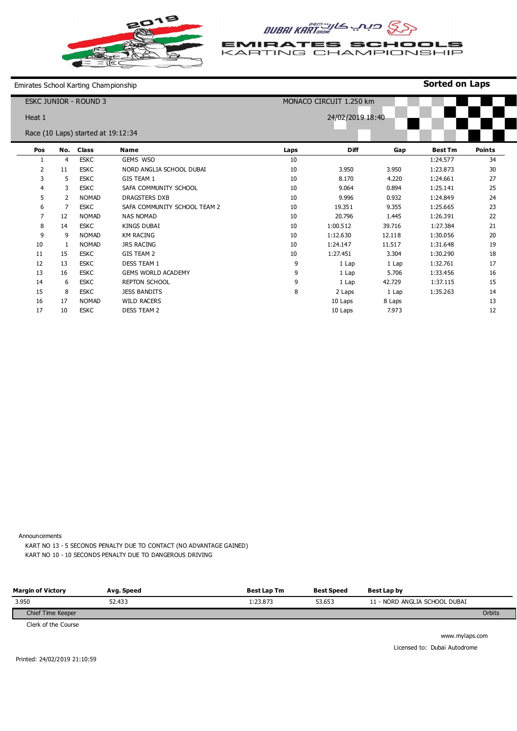

**EMIRATES SCHOOLS** KARTING CHAMPIONSHIP

**Sorted on Laps**

Emirates School Karting Championship

| <b>ESKC JUNIOR - ROUND 3</b> |              |                                    |                              |      | MONACO CIRCUIT 1.250 km |        |                |               |
|------------------------------|--------------|------------------------------------|------------------------------|------|-------------------------|--------|----------------|---------------|
| Heat 1                       |              |                                    |                              |      | 24/02/2019 18:40        |        |                |               |
|                              |              | Race (10 Laps) started at 19:12:34 |                              |      |                         |        |                |               |
| Pos                          | No.          | <b>Class</b>                       | <b>Name</b>                  | Laps | Diff                    | Gap    | <b>Best Tm</b> | <b>Points</b> |
|                              | 4            | <b>ESKC</b>                        | GEMS WSO                     | 10   |                         |        | 1:24.577       | 34            |
| 2                            | 11           | <b>ESKC</b>                        | NORD ANGLIA SCHOOL DUBAI     | 10   | 3.950                   | 3.950  | 1:23.873       | 30            |
| 3                            | 5            | <b>ESKC</b>                        | <b>GIS TEAM 1</b>            | 10   | 8.170                   | 4.220  | 1:24.661       | 27            |
| 4                            | 3            | <b>ESKC</b>                        | SAFA COMMUNITY SCHOOL        | 10   | 9.064                   | 0.894  | 1:25.141       | 25            |
| 5                            | 2            | <b>NOMAD</b>                       | <b>DRAGSTERS DXB</b>         | 10   | 9.996                   | 0.932  | 1:24.849       | 24            |
| 6                            |              | <b>ESKC</b>                        | SAFA COMMUNITY SCHOOL TEAM 2 | 10   | 19.351                  | 9.355  | 1:25.665       | 23            |
| $\overline{7}$               | 12           | <b>NOMAD</b>                       | <b>NAS NOMAD</b>             | 10   | 20.796                  | 1.445  | 1:26.391       | 22            |
| 8                            | 14           | <b>ESKC</b>                        | <b>KINGS DUBAI</b>           | 10   | 1:00.512                | 39.716 | 1:27.384       | 21            |
| 9                            | 9            | <b>NOMAD</b>                       | <b>KM RACING</b>             | 10   | 1:12.630                | 12.118 | 1:30.056       | 20            |
| 10                           | $\mathbf{1}$ | <b>NOMAD</b>                       | <b>JRS RACING</b>            | 10   | 1:24.147                | 11.517 | 1:31.648       | 19            |
| 11                           | 15           | <b>ESKC</b>                        | <b>GIS TEAM 2</b>            | 10   | 1:27.451                | 3.304  | 1:30.290       | 18            |
| 12                           | 13           | <b>ESKC</b>                        | <b>DESS TEAM 1</b>           | 9    | 1 Lap                   | 1 Lap  | 1:32.761       | 17            |
| 13                           | 16           | <b>ESKC</b>                        | <b>GEMS WORLD ACADEMY</b>    | 9    | 1 Lap                   | 5.706  | 1:33.456       | 16            |
| 14                           | 6            | <b>ESKC</b>                        | <b>REPTON SCHOOL</b>         | 9    | 1 Lap                   | 42.729 | 1:37.115       | 15            |
| 15                           | 8            | <b>ESKC</b>                        | <b>JESS BANDITS</b>          | 8    | 2 Laps                  | 1 Lap  | 1:35.263       | 14            |
| 16                           | 17           | <b>NOMAD</b>                       | <b>WILD RACERS</b>           |      | 10 Laps                 | 8 Laps |                | 13            |
| 17                           | 10           | <b>ESKC</b>                        | <b>DESS TEAM 2</b>           |      | 10 Laps                 | 7.973  |                | 12            |

Announcements

KART NO 13 - 5 SECONDS PENALTY DUE TO CONTACT (NO ADVANTAGE GAINED) KART NO 10 - 10 SECONDS PENALTY DUE TO DANGEROUS DRIVING

Chief Time Keeper **Orbits Margin of Victory**  3.950 **Avg. Speed**  52.433 **Best Lap Tm**  1:23.873 **Best Speed**  53.653 **Best Lap by**  11 - NORD ANGLIA SCHOOL DUBAI

Clerk of the Course

www.mylaps.com Licensed to: Dubai Autodrome

Printed: 24/02/2019 21:10:59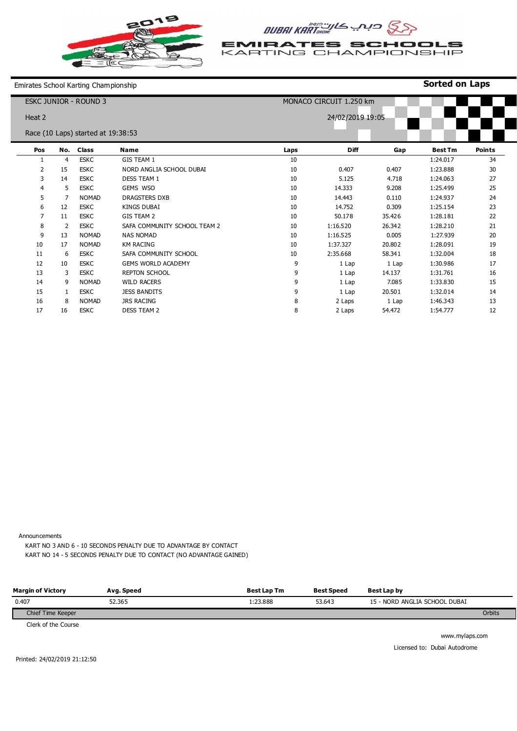

**EMIRATES SCHOOLS** KARTING CHAMPIONSHIP

**Sorted on Laps**

Emirates School Karting Championship

| <b>ESKC JUNIOR - ROUND 3</b> |                |                                    | MONACO CIRCUIT 1.250 km      |      |                  |        |                |               |
|------------------------------|----------------|------------------------------------|------------------------------|------|------------------|--------|----------------|---------------|
| Heat 2                       |                |                                    |                              |      | 24/02/2019 19:05 |        |                |               |
|                              |                | Race (10 Laps) started at 19:38:53 |                              |      |                  |        |                |               |
| Pos                          | No.            | <b>Class</b>                       | <b>Name</b>                  | Laps | Diff             | Gap    | <b>Best Tm</b> | <b>Points</b> |
|                              | $\overline{4}$ | <b>ESKC</b>                        | GIS TEAM 1                   | 10   |                  |        | 1:24.017       | 34            |
| 2                            | 15             | <b>ESKC</b>                        | NORD ANGLIA SCHOOL DUBAI     | 10   | 0.407            | 0.407  | 1:23.888       | 30            |
| 3                            | 14             | <b>ESKC</b>                        | <b>DESS TEAM 1</b>           | 10   | 5.125            | 4.718  | 1:24.063       | 27            |
| 4                            | 5              | <b>ESKC</b>                        | GEMS WSO                     | 10   | 14.333           | 9.208  | 1:25.499       | 25            |
| 5                            | 7              | <b>NOMAD</b>                       | <b>DRAGSTERS DXB</b>         | 10   | 14.443           | 0.110  | 1:24.937       | 24            |
| 6                            | 12             | <b>ESKC</b>                        | <b>KINGS DUBAI</b>           | 10   | 14.752           | 0.309  | 1:25.154       | 23            |
| $\overline{7}$               | 11             | <b>ESKC</b>                        | GIS TEAM 2                   | 10   | 50.178           | 35.426 | 1:28.181       | 22            |
| 8                            | 2              | <b>ESKC</b>                        | SAFA COMMUNITY SCHOOL TEAM 2 | 10   | 1:16.520         | 26.342 | 1:28.210       | 21            |
| 9                            | 13             | <b>NOMAD</b>                       | <b>NAS NOMAD</b>             | 10   | 1:16.525         | 0.005  | 1:27.939       | 20            |
| 10                           | 17             | <b>NOMAD</b>                       | <b>KM RACING</b>             | 10   | 1:37.327         | 20.802 | 1:28.091       | 19            |
| 11                           | 6              | <b>ESKC</b>                        | SAFA COMMUNITY SCHOOL        | 10   | 2:35.668         | 58.341 | 1:32.004       | 18            |
| 12                           | 10             | <b>ESKC</b>                        | <b>GEMS WORLD ACADEMY</b>    | 9    | 1 Lap            | 1 Lap  | 1:30.986       | 17            |
| 13                           | 3              | <b>ESKC</b>                        | <b>REPTON SCHOOL</b>         | 9    | 1 Lap            | 14.137 | 1:31.761       | 16            |
| 14                           | 9              | <b>NOMAD</b>                       | <b>WILD RACERS</b>           | 9    | 1 Lap            | 7.085  | 1:33.830       | 15            |
| 15                           |                | <b>ESKC</b>                        | <b>JESS BANDITS</b>          | 9    | 1 Lap            | 20.501 | 1:32.014       | 14            |
| 16                           | 8              | <b>NOMAD</b>                       | <b>JRS RACING</b>            | 8    | 2 Laps           | 1 Lap  | 1:46.343       | 13            |
| 17                           | 16             | <b>ESKC</b>                        | <b>DESS TEAM 2</b>           | 8    | 2 Laps           | 54.472 | 1:54.777       | 12            |

Announcements

KART NO 3 AND 6 - 10 SECONDS PENALTY DUE TO ADVANTAGE BY CONTACT KART NO 14 - 5 SECONDS PENALTY DUE TO CONTACT (NO ADVANTAGE GAINED)

| <b>Margin of Victory</b> | Avg. Speed | <b>Best Lap Tm</b> | <b>Best Speed</b> | Best Lap by                   |        |
|--------------------------|------------|--------------------|-------------------|-------------------------------|--------|
| 0.407                    | 52.365     | L:23.888           | 53.643            | 15 - NORD ANGLIA SCHOOL DUBAI |        |
| Chief Time Keeper        |            |                    |                   |                               | Orbits |
| .                        |            |                    |                   |                               |        |

Clerk of the Course

www.mylaps.com Licensed to: Dubai Autodrome

Printed: 24/02/2019 21:12:50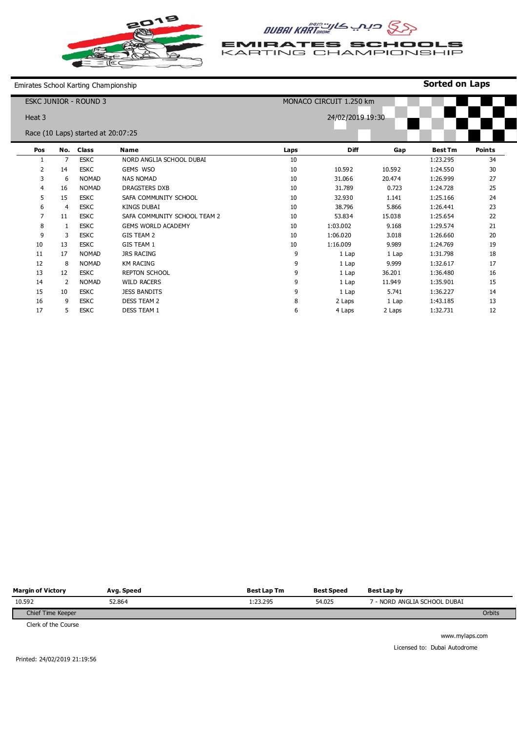

**EMIRATES SCHOOLS**<br>KARTING CHAMPIONSHIP

**Sorted on Laps**

Emirates School Karting Championship

| <b>ESKC JUNIOR - ROUND 3</b> |                |                                    | MONACO CIRCUIT 1.250 km      |                  |             |        |                |               |  |
|------------------------------|----------------|------------------------------------|------------------------------|------------------|-------------|--------|----------------|---------------|--|
| Heat 3                       |                |                                    |                              | 24/02/2019 19:30 |             |        |                |               |  |
|                              |                | Race (10 Laps) started at 20:07:25 |                              |                  |             |        |                |               |  |
| Pos                          | No.            | <b>Class</b>                       | Name                         | Laps             | <b>Diff</b> | Gap    | <b>Best Tm</b> | <b>Points</b> |  |
|                              | $\overline{7}$ | <b>ESKC</b>                        | NORD ANGLIA SCHOOL DUBAI     | 10               |             |        | 1:23.295       | 34            |  |
| 2                            | 14             | <b>ESKC</b>                        | GEMS WSO                     | 10               | 10.592      | 10.592 | 1:24.550       | 30            |  |
| 3                            | 6              | <b>NOMAD</b>                       | <b>NAS NOMAD</b>             | 10               | 31.066      | 20.474 | 1:26.999       | 27            |  |
| 4                            | 16             | <b>NOMAD</b>                       | <b>DRAGSTERS DXB</b>         | 10               | 31.789      | 0.723  | 1:24.728       | 25            |  |
| 5                            | 15             | <b>ESKC</b>                        | SAFA COMMUNITY SCHOOL        | 10               | 32.930      | 1.141  | 1:25.166       | 24            |  |
| 6                            | 4              | <b>ESKC</b>                        | <b>KINGS DUBAI</b>           | 10               | 38.796      | 5.866  | 1:26.441       | 23            |  |
| $\overline{7}$               | 11             | <b>ESKC</b>                        | SAFA COMMUNITY SCHOOL TEAM 2 | 10               | 53.834      | 15.038 | 1:25.654       | 22            |  |
| 8                            | 1              | <b>ESKC</b>                        | <b>GEMS WORLD ACADEMY</b>    | 10               | 1:03.002    | 9.168  | 1:29.574       | 21            |  |
| 9                            | 3              | <b>ESKC</b>                        | GIS TEAM 2                   | 10               | 1:06.020    | 3.018  | 1:26.660       | 20            |  |
| 10                           | 13             | <b>ESKC</b>                        | GIS TEAM 1                   | 10               | 1:16.009    | 9.989  | 1:24.769       | 19            |  |
| 11                           | 17             | <b>NOMAD</b>                       | <b>JRS RACING</b>            | 9                | 1 Lap       | 1 Lap  | 1:31.798       | 18            |  |
| 12                           | 8              | <b>NOMAD</b>                       | <b>KM RACING</b>             | 9                | 1 Lap       | 9.999  | 1:32.617       | 17            |  |
| 13                           | 12             | <b>ESKC</b>                        | <b>REPTON SCHOOL</b>         | 9                | 1 Lap       | 36.201 | 1:36.480       | 16            |  |
| 14                           | 2              | <b>NOMAD</b>                       | <b>WILD RACERS</b>           | 9                | 1 Lap       | 11.949 | 1:35.901       | 15            |  |
| 15                           | 10             | <b>ESKC</b>                        | <b>JESS BANDITS</b>          | 9                | 1 Lap       | 5.741  | 1:36.227       | 14            |  |
| 16                           | 9              | <b>ESKC</b>                        | <b>DESS TEAM 2</b>           | 8                | 2 Laps      | 1 Lap  | 1:43.185       | 13            |  |
| 17                           | 5              | <b>ESKC</b>                        | <b>DESS TEAM 1</b>           | 6                | 4 Laps      | 2 Laps | 1:32.731       | 12            |  |

| <b>Margin of Victory</b> | Avg. Speed | <b>Best Lap Tm</b> | <b>Best Speed</b> | Best Lap by                  |        |
|--------------------------|------------|--------------------|-------------------|------------------------------|--------|
| 10.592                   | 52.864     | 1:23.295           | 54.025            | ' - NORD ANGLIA SCHOOL DUBAI |        |
| Chief Time Keeper        |            |                    |                   |                              | Orbits |
|                          |            |                    |                   |                              |        |

Clerk of the Course

www.mylaps.com Licensed to: Dubai Autodrome